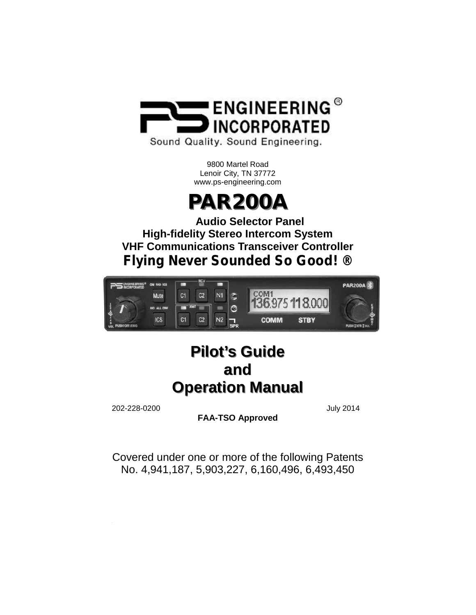

Sound Quality. Sound Engineering.

9800 Martel Road Lenoir City, TN 37772 www.ps-engineering.com

# **PAR200A**

**Audio Selector Panel High-fidelity Stereo Intercom System VHF Communications Transceiver Controller** *Flying Never Sounded So Good! ®*



## **Pilot's Guide and Operation Manual**

202-228-0200 July 2014

**FAA-TSO Approved**

Covered under one or more of the following Patents No. 4,941,187, 5,903,227, 6,160,496, 6,493,450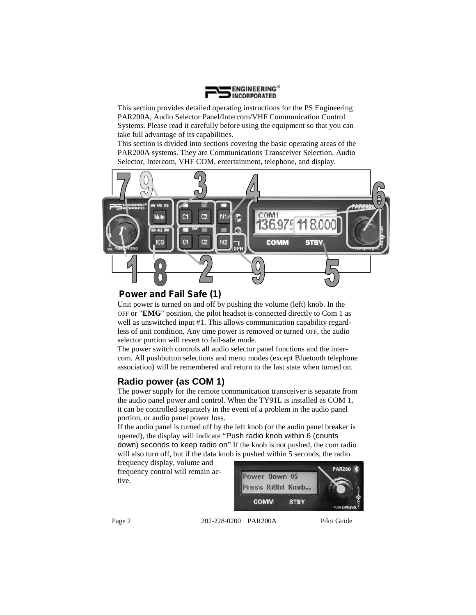

This section provides detailed operating instructions for the PS Engineering PAR200A, Audio Selector Panel/Intercom/VHF Communication Control Systems. Please read it carefully before using the equipment so that you can take full advantage of its capabilities.

This section is divided into sections covering the basic operating areas of the PAR200A systems. They are Communications Transceiver Selection, Audio Selector, Intercom, VHF COM, entertainment, telephone, and display.



#### *Power and Fail Safe (1)*

Unit power is turned on and off by pushing the volume (left) knob. In the OFF or "**EMG**" position, the pilot headset is connected directly to Com 1 as well as unswitched input #1. This allows communication capability regardless of unit condition. Any time power is removed or turned OFF, the audio selector portion will revert to fail-safe mode.

The power switch controls all audio selector panel functions and the intercom. All pushbutton selections and menu modes (except Bluetooth telephone association) will be remembered and return to the last state when turned on.

#### **Radio power (as COM 1)**

The power supply for the remote communication transceiver is separate from the audio panel power and control. When the TY91L is installed as COM 1, it can be controlled separately in the event of a problem in the audio panel portion, or audio panel power loss.

If the audio panel is turned off by the left knob (or the audio panel breaker is opened), the display will indicate "Push radio knob within 6 (counts down) seconds to keep radio on" If the knob is not pushed, the com radio will also turn off, but if the data knob is pushed within 5 seconds, the radio

frequency display, volume and frequency control will remain active.



Page 2 202-228-0200 PAR200A Pilot Guide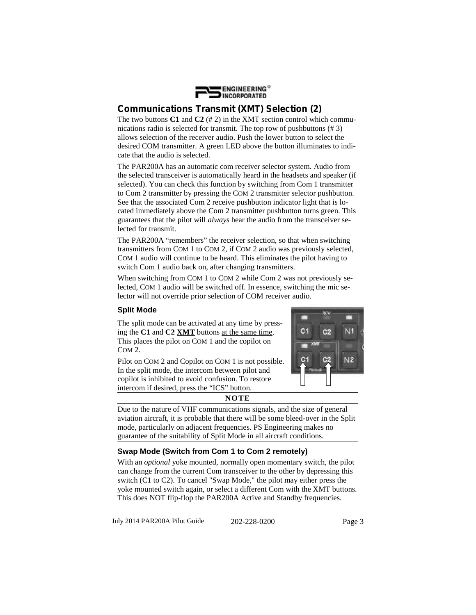

### *Communications Transmit (XMT) Selection (2)*

The two buttons **C1** and **C2** (# 2) in the XMT section control which communications radio is selected for transmit. The top row of pushbuttons (# 3) allows selection of the receiver audio. Push the lower button to select the desired COM transmitter. A green LED above the button illuminates to indicate that the audio is selected.

The PAR200A has an automatic com receiver selector system. Audio from the selected transceiver is automatically heard in the headsets and speaker (if selected). You can check this function by switching from Com 1 transmitter to Com 2 transmitter by pressing the COM 2 transmitter selector pushbutton. See that the associated Com 2 receive pushbutton indicator light that is located immediately above the Com 2 transmitter pushbutton turns green. This guarantees that the pilot will *always* hear the audio from the transceiver selected for transmit.

The PAR200A "remembers" the receiver selection, so that when switching transmitters from COM 1 to COM 2, if COM 2 audio was previously selected, COM 1 audio will continue to be heard. This eliminates the pilot having to switch Com 1 audio back on, after changing transmitters.

When switching from COM 1 to COM 2 while Com 2 was not previously selected, COM 1 audio will be switched off. In essence, switching the mic selector will not override prior selection of COM receiver audio.

#### **Split Mode**

The split mode can be activated at any time by pressing the **C1** and **C2 XMT** buttons at the same time. This places the pilot on COM 1 and the copilot on COM 2.

Pilot on COM 2 and Copilot on COM 1 is not possible. In the split mode, the intercom between pilot and copilot is inhibited to avoid confusion. To restore intercom if desired, press the "ICS" button.



**NOTE**

Due to the nature of VHF communications signals, and the size of general aviation aircraft, it is probable that there will be some bleed-over in the Split mode, particularly on adjacent frequencies. PS Engineering makes no guarantee of the suitability of Split Mode in all aircraft conditions.

#### **Swap Mode (Switch from Com 1 to Com 2 remotely)**

With an *optional* yoke mounted, normally open momentary switch, the pilot can change from the current Com transceiver to the other by depressing this switch (C1 to C2). To cancel "Swap Mode," the pilot may either press the yoke mounted switch again, or select a different Com with the XMT buttons. This does NOT flip-flop the PAR200A Active and Standby frequencies.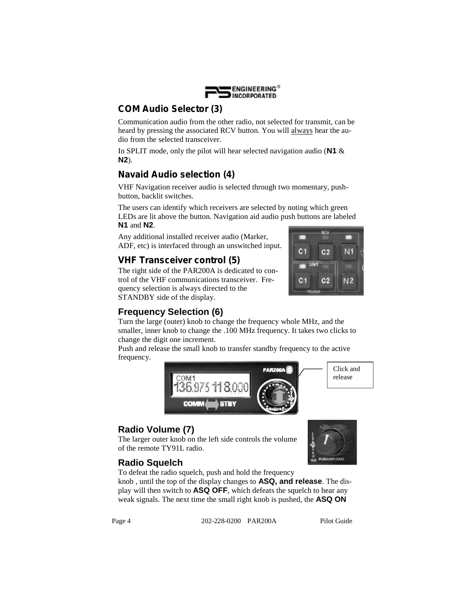

#### *COM Audio Selector (3)*

Communication audio from the other radio, not selected for transmit, can be heard by pressing the associated RCV button. You will always hear the audio from the selected transceiver.

In SPLIT mode, only the pilot will hear selected navigation audio (**N1** & **N2**).

## *Navaid Audio selection (4)*

VHF Navigation receiver audio is selected through two momentary, push button, backlit switches.

The users can identify which receivers are selected by noting which green LEDs are lit above the button. Navigation aid audio push buttons are labeled

**N1** and **N2**.<br>Any additional installed receiver audio (Marker, ADF, etc) is interfaced through an unswitched input.

## *VHF Transceiver control (5)*

The right side of the PAR200A is dedicated to control of the VHF communications transceiver. Frequency selection is always directed to the STANDBY side of the display.



## **Frequency Selection (6)**

Turn the large (outer) knob to change the frequency whole MHz, and the smaller, inner knob to change the .100 MHz frequency. It takes two clicks to change the digit one increment.

Push and release the small knob to transfer standby frequency to the active frequency.





## **Radio Volume (7)**

The larger outer knob on the left side controls the volume of the remote TY91L radio.



#### **Radio Squelch**

To defeat the radio squelch, push and hold the frequency

knob , until the top of the display changes to **ASQ, and release**. The display will then switch to **ASQ OFF**, which defeats the squelch to hear any weak signals. The next time the small right knob is pushed, the **ASQ ON**

Page 4 202-228-0200 PAR200A Pilot Guide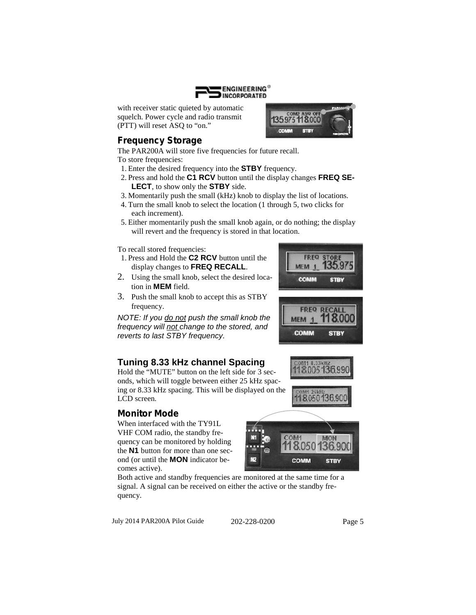

with receiver static quieted by automatic squelch. Power cycle and radio transmit (PTT) will reset ASQ to "on."

## *Frequency Storage*

The PAR200A will store five frequencies for future recall.

To store frequencies:

- 1. Enter the desired frequency into the **STBY** frequency.
- 2. Press and hold the **C1 RCV** button until the display changes **FREQ SE-LECT**, to show only the **STBY** side.
- 3. Momentarily push the small (kHz) knob to display the list of locations.
- 4. Turn the small knob to select the location (1 through 5, two clicks for each increment).
- 5. Either momentarily push the small knob again, or do nothing; the display will revert and the frequency is stored in that location.

To recall stored frequencies:

- 1. Press and Hold the **C2 RCV** button until the display changes to **FREQ RECALL**.
- 2. Using the small knob, select the desired location in **MEM** field.
- 3. Push the small knob to accept this as STBY frequency.

*NOTE: If you do not push the small knob the frequency will <u>not</u> change to the stored, and*<br>*reverts to last STBY frequency reverts to last STBY frequency.*

## **Tuning 8.33 kHz channel Spacing**<br>Hold the "MUTE" button on the left side for 3 sec-<br>118.005 136.99

Hold the "MUTE" button on the left side for 3 seconds, which will toggle between either 25 kHz spacing or 8.33 kHz spacing. This will be displayed on the LCD screen.

## *Monitor Mode*

When interfaced with the TY91L VHF COM radio, the standby frequency can be monitored by holding the **N1** button for more than one second (or until the **MON** indicator becomes active).

Both active and standby frequencies are monitored at the same time for a signal. A signal can be received on either the active or the standby frequency.

July 2014 PAR200A Pilot Guide 202-228-0200 Page 5





135975118000 **STBY** 

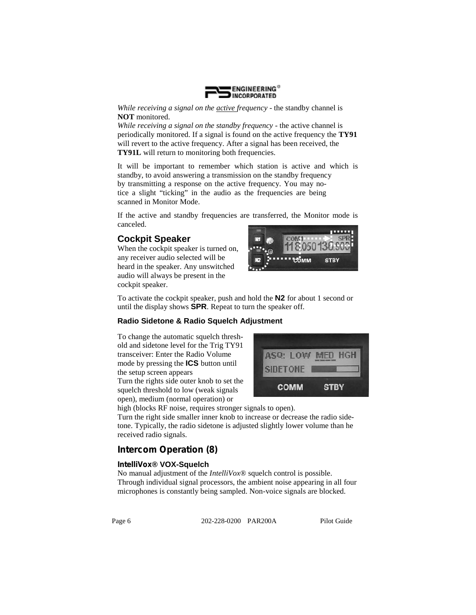

*While receiving a signal on the active frequency* - the standby channel is **NOT** monitored.

*While receiving a signal on the standby frequency* - the active channel is periodically monitored. If a signal is found on the active frequency the **TY91** will revert to the active frequency. After a signal has been received, the **TY91L** will return to monitoring both frequencies.

It will be important to remember which station is active and which is standby, to avoid answering a transmission on the standby frequency by transmitting a response on the active frequency. You may notice a slight "ticking" in the audio as the frequencies are being scanned in Monitor Mode.

If the active and standby frequencies are transferred, the Monitor mode is canceled.

### **Cockpit Speaker**

When the cockpit speaker is turned on, any receiver audio selected will be heard in the speaker. Any unswitched audio will always be present in the cockpit speaker.



To activate the cockpit speaker, push and hold the **N2** for about 1 second or until the display shows **SPR**. Repeat to turn the speaker off.

#### **Radio Sidetone & Radio Squelch Adjustment**

To change the automatic squelch threshold and sidetone level for the Trig TY91 transceiver: Enter the Radio Volume mode by pressing the **ICS** button until the setup screen appears

Turn the rights side outer knob to set the squelch threshold to low (weak signals open), medium (normal operation) or



high (blocks RF noise, requires stronger signals to open).

Turn the right side smaller inner knob to increase or decrease the radio sidetone. Typically, the radio sidetone is adjusted slightly lower volume than he received radio signals.

#### *Intercom Operation (8)*

#### *IntelliVox***® VOX-Squelch**

No manual adjustment of the *IntelliVox*® squelch control is possible. Through individual signal processors, the ambient noise appearing in all four microphones is constantly being sampled. Non-voice signals are blocked.

Page 6 202-228-0200 PAR200A Pilot Guide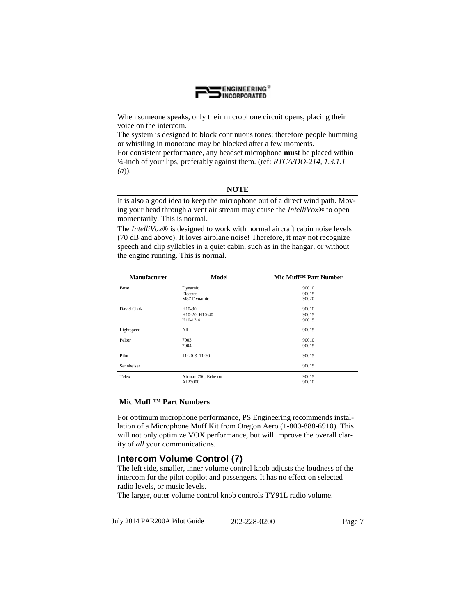

When someone speaks, only their microphone circuit opens, placing their voice on the intercom.

The system is designed to block continuous tones; therefore people humming or whistling in monotone may be blocked after a few moments.

For consistent performance, any headset microphone **must** be placed within ¼-inch of your lips, preferably against them. (ref: *RTCA/DO-214, 1.3.1.1 (a*)).

#### **NOTE**

It is also a good idea to keep the microphone out of a direct wind path. Moving your head through a vent air stream may cause the *IntelliVox*® to open momentarily. This is normal.

The *IntelliVox*® is designed to work with normal aircraft cabin noise levels (70 dB and above). It loves airplane noise! Therefore, it may not recognize speech and clip syllables in a quiet cabin, such as in the hangar, or without the engine running. This is normal.

| <b>Manufacturer</b> | <b>Model</b>                         | Mic Muff <sup>TM</sup> Part Number |  |
|---------------------|--------------------------------------|------------------------------------|--|
| <b>Bose</b>         | Dynamic<br>Electret<br>M87 Dynamic   | 90010<br>90015<br>90020            |  |
| David Clark         | H10-30<br>H10-20, H10-40<br>H10-13.4 | 90010<br>90015<br>90015            |  |
| Lightspeed          | All                                  | 90015                              |  |
| Peltor              | 7003<br>7004                         | 90010<br>90015                     |  |
| Pilot               | 11-20 & 11-90                        | 90015                              |  |
| Sennheiser          |                                      | 90015                              |  |
| Telex               | Airman 750, Echelon<br>AIR3000       | 90015<br>90010                     |  |

#### **Mic Muff ™ Part Numbers**

For optimum microphone performance, PS Engineering recommends installation of a Microphone Muff Kit from Oregon Aero (1-800-888-6910). This will not only optimize VOX performance, but will improve the overall clarity of *all* your communications.

#### **Intercom Volume Control (7)**

The left side, smaller, inner volume control knob adjusts the loudness of the intercom for the pilot copilot and passengers. It has no effect on selected radio levels, or music levels.

The larger, outer volume control knob controls TY91L radio volume.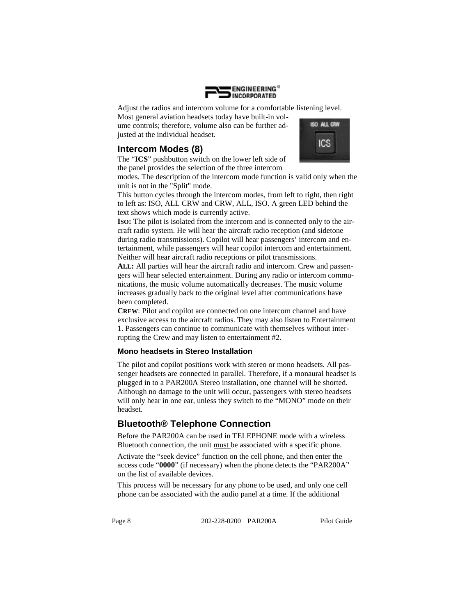

Adjust the radios and intercom volume for a comfortable listening level.

Most general aviation headsets today have built-in volume controls; therefore, volume also can be further adjusted at the individual headset.



**ISO ALL CRW ICS** 

The "**ICS**" pushbutton switch on the lower left side of the panel provides the selection of the three intercom

modes. The description of the intercom mode function is valid only when the unit is not in the "Split" mode.

This button cycles through the intercom modes, from left to right, then right to left as: ISO, ALL CRW and CRW, ALL, ISO. A green LED behind the text shows which mode is currently active.

**ISO:** The pilot is isolated from the intercom and is connected only to the aircraft radio system. He will hear the aircraft radio reception (and sidetone during radio transmissions). Copilot will hear passengers' intercom and entertainment, while passengers will hear copilot intercom and entertainment. Neither will hear aircraft radio receptions or pilot transmissions.

**ALL:** All parties will hear the aircraft radio and intercom. Crew and passengers will hear selected entertainment. During any radio or intercom communications, the music volume automatically decreases. The music volume increases gradually back to the original level after communications have been completed.

**CREW**: Pilot and copilot are connected on one intercom channel and have exclusive access to the aircraft radios. They may also listen to Entertainment 1. Passengers can continue to communicate with themselves without interrupting the Crew and may listen to entertainment #2.

#### **Mono headsets in Stereo Installation**

The pilot and copilot positions work with stereo or mono headsets. All passenger headsets are connected in parallel. Therefore, if a monaural headset is plugged in to a PAR200A Stereo installation, one channel will be shorted. Although no damage to the unit will occur, passengers with stereo headsets will only hear in one ear, unless they switch to the "MONO" mode on their headset.

#### **Bluetooth® Telephone Connection**

Before the PAR200A can be used in TELEPHONE mode with a wireless Bluetooth connection, the unit must be associated with a specific phone.

Activate the "seek device" function on the cell phone, and then enter the access code "**0000**" (if necessary) when the phone detects the "PAR200A" on the list of available devices.

This process will be necessary for any phone to be used, and only one cell phone can be associated with the audio panel at a time. If the additional

Page 8 202-228-0200 PAR200A Pilot Guide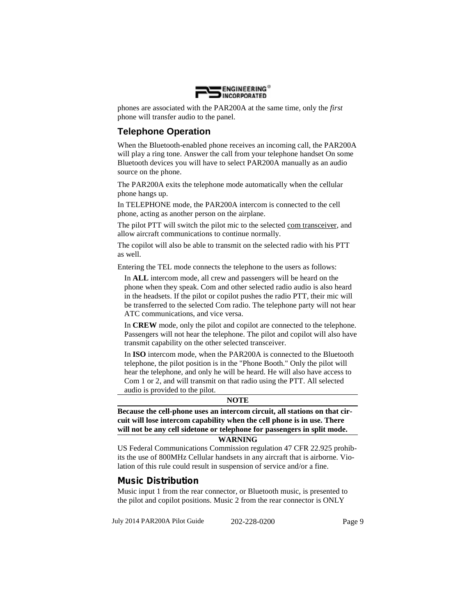

phones are associated with the PAR200A at the same time, only the *first* phone will transfer audio to the panel.

#### **Telephone Operation**

When the Bluetooth-enabled phone receives an incoming call, the PAR200A will play a ring tone. Answer the call from your telephone handset On some Bluetooth devices you will have to select PAR200A manually as an audio source on the phone.

The PAR200A exits the telephone mode automatically when the cellular phone hangs up.

In TELEPHONE mode, the PAR200A intercom is connected to the cell phone, acting as another person on the airplane.

The pilot PTT will switch the pilot mic to the selected com transceiver, and allow aircraft communications to continue normally.

The copilot will also be able to transmit on the selected radio with his PTT as well.

Entering the TEL mode connects the telephone to the users as follows:

In **ALL** intercom mode, all crew and passengers will be heard on the phone when they speak. Com and other selected radio audio is also heard in the headsets. If the pilot or copilot pushes the radio PTT, their mic will be transferred to the selected Com radio. The telephone party will not hear ATC communications, and vice versa.

In **CREW** mode, only the pilot and copilot are connected to the telephone. Passengers will not hear the telephone. The pilot and copilot will also have transmit capability on the other selected transceiver.

In **ISO** intercom mode, when the PAR200A is connected to the Bluetooth telephone, the pilot position is in the "Phone Booth." Only the pilot will hear the telephone, and only he will be heard. He will also have access to Com 1 or 2, and will transmit on that radio using the PTT. All selected audio is provided to the pilot.

#### **NOTE**

**Because the cell-phone uses an intercom circuit, all stations on that circuit will lose intercom capability when the cell phone is in use. There will not be any cell sidetone or telephone for passengers in split mode.**

#### **WARNING**

US Federal Communications Commission regulation 47 CFR 22.925 prohibits the use of 800MHz Cellular handsets in any aircraft that is airborne. Violation of this rule could result in suspension of service and/or a fine.

#### *Music Distribution*

Music input 1 from the rear connector, or Bluetooth music, is presented to the pilot and copilot positions. Music 2 from the rear connector is ONLY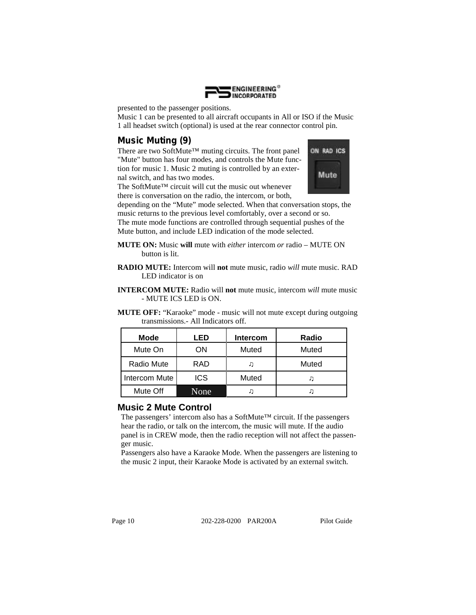

presented to the passenger positions.

Music 1 can be presented to all aircraft occupants in All or ISO if the Music 1 all headset switch (optional) is used at the rear connector control pin.

## *Music Muting (9)*

There are two SoftMute<sup>™</sup> muting circuits. The front panel **ON RAD ICS** "Mute" button has four modes, and controls the Mute function for music 1. Music 2 muting is controlled by an external switch, and has two modes.

The SoftMute™ circuit will cut the music out whenever there is conversation on the radio, the intercom, or both,



depending on the "Mute" mode selected. When that conversation stops, the music returns to the previous level comfortably, over a second or so.

The mute mode functions are controlled through sequential pushes of the Mute button, and include LED indication of the mode selected.

- **MUTE ON:** Music **will** mute with *either* intercom *or* radio MUTE ON button is lit.
- **RADIO MUTE:** Intercom will **not** mute music, radio *will* mute music. RAD LED indicator is on
- **INTERCOM MUTE:** Radio will **not** mute music, intercom *will* mute music - MUTE ICS LED is ON.
- **MUTE OFF:** "Karaoke" mode music will not mute except during outgoing transmissions.- All Indicators off.

| Mode          | LED        | <b>Intercom</b> | Radio |
|---------------|------------|-----------------|-------|
| Mute On       | ΟN         | Muted           | Muted |
| Radio Mute    | <b>RAD</b> |                 | Muted |
| Intercom Mute | <b>ICS</b> | Muted           |       |
| Mute Off      | None       |                 |       |

#### **Music 2 Mute Control**

The passengers' intercom also has a SoftMute<sup>™</sup> circuit. If the passengers hear the radio, or talk on the intercom, the music will mute. If the audio panel is in CREW mode, then the radio reception will not affect the passenger music.

Passengers also have a Karaoke Mode. When the passengers are listening to the music 2 input, their Karaoke Mode is activated by an external switch.

Page 10 202-228-0200 PAR200A Pilot Guide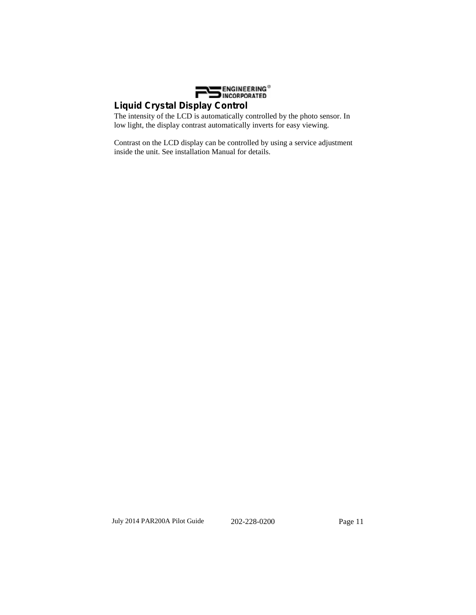

## *Liquid Crystal Display Control*

The intensity of the LCD is automatically controlled by the photo sensor. In low light, the display contrast automatically inverts for easy viewing.

Contrast on the LCD display can be controlled by using a service adjustment inside the unit. See installation Manual for details.